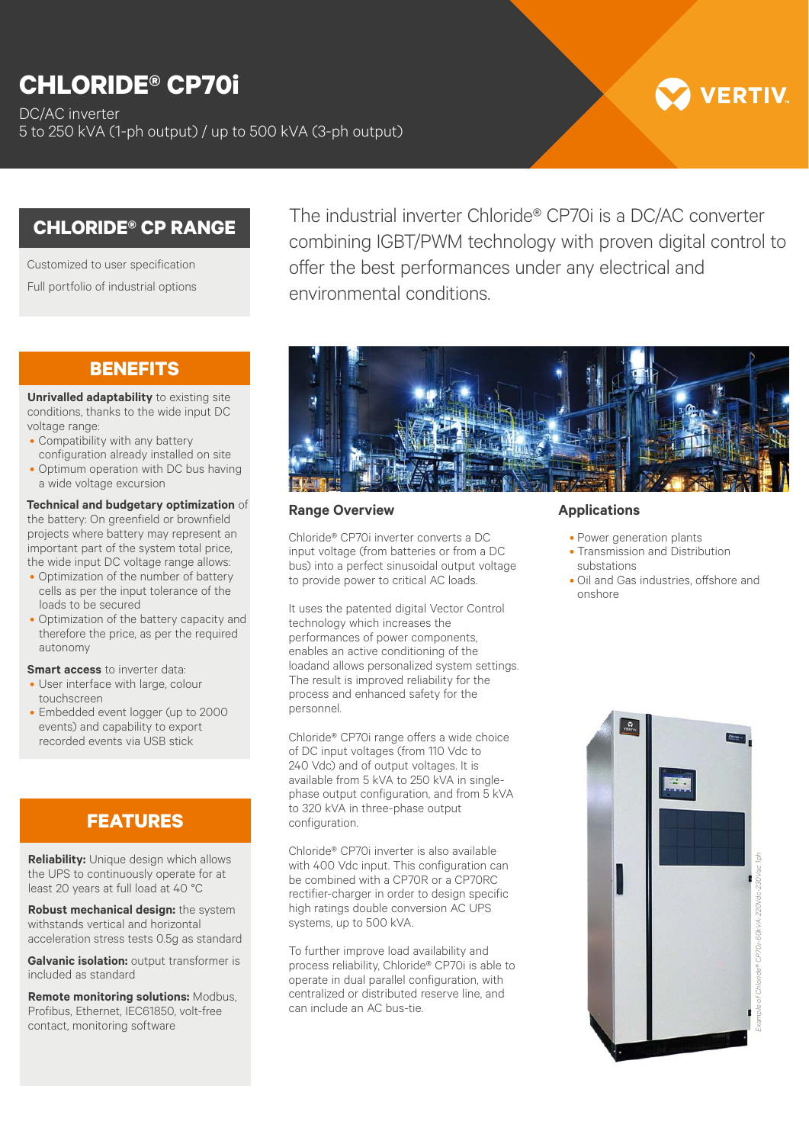# **CHLORIDE® CP70i**

DC/AC inverter 5 to 250 kVA (1-ph output) / up to 500 kVA (3-ph output)

# **VERTIV**

## **CHLORIDE® CP RANGE**

Customized to user specification Full portfolio of industrial options

## **BENEFITS**

**Unrivalled adaptability** to existing site conditions, thanks to the wide input DC voltage range:

- Compatibility with any battery configuration already installed on site
- Optimum operation with DC bus having a wide voltage excursion

#### **Technical and budgetary optimization** of

the battery: On greenfield or brownfield projects where battery may represent an important part of the system total price, the wide input DC voltage range allows:

- Optimization of the number of battery cells as per the input tolerance of the loads to be secured
- Optimization of the battery capacity and therefore the price, as per the required autonomy

#### **Smart access** to inverter data:

- User interface with large, colour touchscreen
- Embedded event logger (up to 2000 events) and capability to export recorded events via USB stick

# **FEATURES**

**Reliability:** Unique design which allows the UPS to continuously operate for at least 20 years at full load at 40 °C

**Robust mechanical design:** the system withstands vertical and horizontal acceleration stress tests 0.5g as standard

**Galvanic isolation:** output transformer is included as standard

**Remote monitoring solutions:** Modbus, Profibus, Ethernet, IEC61850, volt-free contact, monitoring software

The industrial inverter Chloride® CP70i is a DC/AC converter combining IGBT/PWM technology with proven digital control to offer the best performances under any electrical and environmental conditions.



### **Range Overview**

Chloride® CP70i inverter converts a DC input voltage (from batteries or from a DC bus) into a perfect sinusoidal output voltage to provide power to critical AC loads.

It uses the patented digital Vector Control technology which increases the performances of power components, enables an active conditioning of the loadand allows personalized system settings. The result is improved reliability for the process and enhanced safety for the personnel.

Chloride® CP70i range offers a wide choice of DC input voltages (from 110 Vdc to 240 Vdc) and of output voltages. It is available from 5 kVA to 250 kVA in singlephase output configuration, and from 5 kVA to 320 kVA in three-phase output configuration.

Chloride® CP70i inverter is also available with 400 Vdc input. This configuration can be combined with a CP70R or a CP70RC rectifier-charger in order to design specific high ratings double conversion AC UPS systems, up to 500 kVA.

To further improve load availability and process reliability, Chloride® CP70i is able to operate in dual parallel configuration, with centralized or distributed reserve line, and can include an AC bus-tie.

### **Applications**

- Power generation plants
- Transmission and Distribution substations
- Oil and Gas industries, offshore and onshore



*Example of Chloride® CP70i-60kVA-220Vdc-230Vac 1ph*